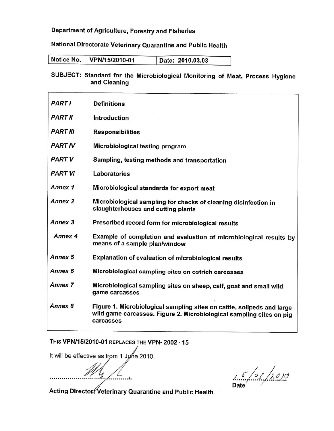## Department of Agriculture, Forestry and Fisheries

## National Directorate Veterinary Quarantine and Public Health

| Notice No.<br>VPN/15/2010-01 | Date: 2010.03.03 |
|------------------------------|------------------|
|------------------------------|------------------|

## SUBJECT: Standard for the Microbiological Monitoring of Meat, Process Hygiene and Cleaning

| <b>PART I</b>      | <b>Definitions</b>                                                                                                                                          |
|--------------------|-------------------------------------------------------------------------------------------------------------------------------------------------------------|
| <b>PART II</b>     | <b>Introduction</b>                                                                                                                                         |
| <b>PART III</b>    | <b>Responsibilities</b>                                                                                                                                     |
| <b>PART IV</b>     | Microbiological testing program                                                                                                                             |
| <b>PART V</b>      | Sampling, testing methods and transportation                                                                                                                |
| <b>PART VI</b>     | Laboratories                                                                                                                                                |
| Annex <sub>1</sub> | Microbiological standards for export meat                                                                                                                   |
| <b>Annex 2</b>     | Microbiological sampling for checks of cleaning disinfection in<br>slaughterhouses and cutting plants                                                       |
| Annex <sub>3</sub> | Prescribed record form for microbiological results                                                                                                          |
| Annex 4            | Example of completion and evaluation of microbiological results by<br>means of a sample plan/window                                                         |
| Annex <sub>5</sub> | <b>Explanation of evaluation of microbiological results</b>                                                                                                 |
| Annex 6            | Microbiological sampling sites on ostrich carcasses                                                                                                         |
| <b>Annex 7</b>     | Microbiological sampling sites on sheep, calf, goat and small wild<br>game carcasses                                                                        |
| Annex 8            | Figure 1. Microbiological sampling sites on cattle, solipeds and large<br>wild game carcasses. Figure 2. Microbiological sampling sites on pig<br>carcasses |

THIS VPN/15/2010-01 REPLACES THE VPN- 2002 - 15

It will be effective as from 1 June 2010.

 $15/07/20/0$ 

Acting Director Veterinary Quarantine and Public Health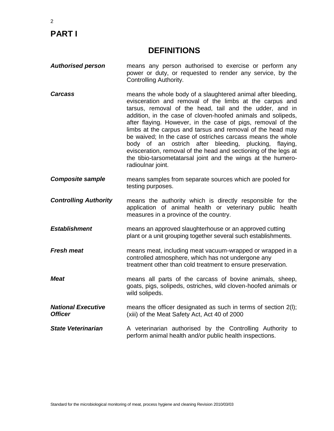# **PART I**

## **DEFINITIONS**

- *Authorised person* means any person authorised to exercise or perform any power or duty, or requested to render any service, by the Controlling Authority.
- **Carcass** means the whole body of a slaughtered animal after bleeding, evisceration and removal of the limbs at the carpus and tarsus, removal of the head, tail and the udder, and in addition, in the case of cloven-hoofed animals and solipeds, after flaying. However, in the case of pigs, removal of the limbs at the carpus and tarsus and removal of the head may be waived; In the case of ostriches carcass means the whole body of an ostrich after bleeding, plucking, flaying, evisceration, removal of the head and sectioning of the legs at the tibio-tarsometatarsal joint and the wings at the humeroradioulnar joint.
- *Composite sample* means samples from separate sources which are pooled for testing purposes.

*Controlling Authority* means the authority which is directly responsible for the application of animal health or veterinary public health measures in a province of the country.

- *Establishment* means an approved slaughterhouse or an approved cutting plant or a unit grouping together several such establishments.
- **Fresh meat** means meat, including meat vacuum-wrapped or wrapped in a controlled atmosphere, which has not undergone any treatment other than cold treatment to ensure preservation.
- *Meat* Means all parts of the carcass of bovine animals, sheep, goats, pigs, solipeds, ostriches, wild cloven-hoofed animals or wild solipeds.
- *National Executive Officer* means the officer designated as such in terms of section 2(l); (xiii) of the Meat Safety Act, Act 40 of 2000
- **State Veterinarian** A veterinarian authorised by the Controlling Authority to perform animal health and/or public health inspections.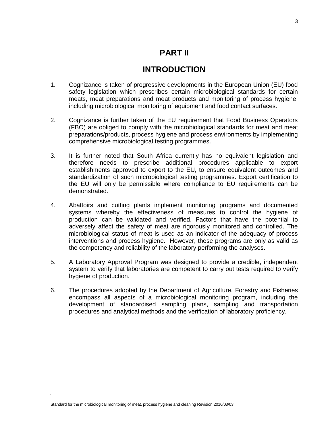## **PART II**

## **INTRODUCTION**

- 1. Cognizance is taken of progressive developments in the European Union (EU) food safety legislation which prescribes certain microbiological standards for certain meats, meat preparations and meat products and monitoring of process hygiene, including microbiological monitoring of equipment and food contact surfaces.
- 2. Cognizance is further taken of the EU requirement that Food Business Operators (FBO) are obliged to comply with the microbiological standards for meat and meat preparations/products, process hygiene and process environments by implementing comprehensive microbiological testing programmes.
- 3. It is further noted that South Africa currently has no equivalent legislation and therefore needs to prescribe additional procedures applicable to export establishments approved to export to the EU, to ensure equivalent outcomes and standardization of such microbiological testing programmes. Export certification to the EU will only be permissible where compliance to EU requirements can be demonstrated.
- 4. Abattoirs and cutting plants implement monitoring programs and documented systems whereby the effectiveness of measures to control the hygiene of production can be validated and verified. Factors that have the potential to adversely affect the safety of meat are rigorously monitored and controlled. The microbiological status of meat is used as an indicator of the adequacy of process interventions and process hygiene. However, these programs are only as valid as the competency and reliability of the laboratory performing the analyses.
- 5. A Laboratory Approval Program was designed to provide a credible, independent system to verify that laboratories are competent to carry out tests required to verify hygiene of production.
- 6. The procedures adopted by the Department of Agriculture, Forestry and Fisheries encompass all aspects of a microbiological monitoring program, including the development of standardised sampling plans, sampling and transportation procedures and analytical methods and the verification of laboratory proficiency.

/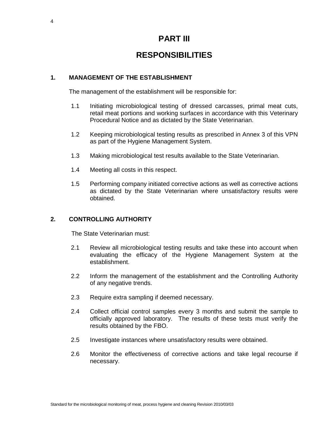## **PART III**

## **RESPONSIBILITIES**

## **1. MANAGEMENT OF THE ESTABLISHMENT**

The management of the establishment will be responsible for:

- 1.1 Initiating microbiological testing of dressed carcasses, primal meat cuts, retail meat portions and working surfaces in accordance with this Veterinary Procedural Notice and as dictated by the State Veterinarian.
- 1.2 Keeping microbiological testing results as prescribed in Annex 3 of this VPN as part of the Hygiene Management System.
- 1.3 Making microbiological test results available to the State Veterinarian.
- 1.4 Meeting all costs in this respect.
- 1.5 Performing company initiated corrective actions as well as corrective actions as dictated by the State Veterinarian where unsatisfactory results were obtained.

### **2. CONTROLLING AUTHORITY**

The State Veterinarian must:

- 2.1 Review all microbiological testing results and take these into account when evaluating the efficacy of the Hygiene Management System at the establishment.
- 2.2 Inform the management of the establishment and the Controlling Authority of any negative trends.
- 2.3 Require extra sampling if deemed necessary.
- 2.4 Collect official control samples every 3 months and submit the sample to officially approved laboratory. The results of these tests must verify the results obtained by the FBO.
- 2.5 Investigate instances where unsatisfactory results were obtained.
- 2.6 Monitor the effectiveness of corrective actions and take legal recourse if necessary.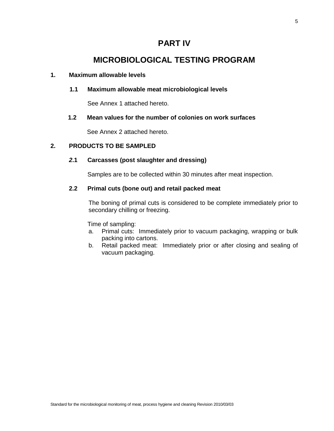## **PART IV**

## **MICROBIOLOGICAL TESTING PROGRAM**

### **1. Maximum allowable levels**

## **1.1 Maximum allowable meat microbiological levels**

See Annex 1 attached hereto.

## **1.2 Mean values for the number of colonies on work surfaces**

See Annex 2 attached hereto.

## **2. PRODUCTS TO BE SAMPLED**

## *2***.1 Carcasses (post slaughter and dressing)**

Samples are to be collected within 30 minutes after meat inspection.

### **2.2 Primal cuts (bone out) and retail packed meat**

The boning of primal cuts is considered to be complete immediately prior to secondary chilling or freezing.

Time of sampling:

- a. Primal cuts: Immediately prior to vacuum packaging, wrapping or bulk packing into cartons.
- b. Retail packed meat: Immediately prior or after closing and sealing of vacuum packaging.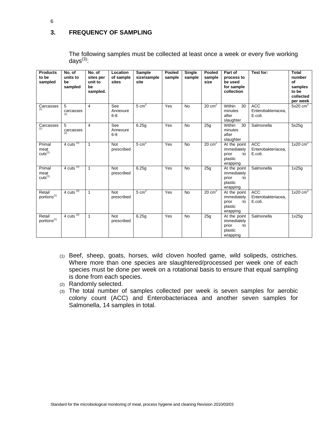## **3. FREQUENCY OF SAMPLING**

The following samples must be collected at least once a week or every five working days $^{(3)}$ :

| <b>Products</b><br>to be<br>sampled   | No. of<br>units to<br>be<br>sampled | No. of<br>sites per<br>unit to<br>be<br>sampled. | Location<br>of sample<br>sites | Sample<br>size/sample<br>site | Pooled<br>sample | <b>Single</b><br>sample | Pooled<br>sample<br>size | Part of<br>process to<br>be used<br>for sample<br>collection      | Test for:                                   | Total<br>number<br>of<br>samples<br>to be<br>collected<br>per week |
|---------------------------------------|-------------------------------------|--------------------------------------------------|--------------------------------|-------------------------------|------------------|-------------------------|--------------------------|-------------------------------------------------------------------|---------------------------------------------|--------------------------------------------------------------------|
| Carcasses<br>(1)                      | 5<br>carcasses<br>(2)               | 4                                                | See<br>Annexure<br>$6 - 8$     | $5 \text{ cm}^2$              | Yes              | <b>No</b>               | $20 \text{ cm}^2$        | Within<br>30<br>minutes<br>after<br>slaughter                     | <b>ACC</b><br>Enterobakteriacea.<br>E.coli. | $5x20$ cm <sup>2</sup>                                             |
| Carcasses<br>(1)                      | 5<br>carcasses<br>(2)               | 4                                                | See<br>Annexure<br>$6 - 8$     | 6.25g                         | Yes              | <b>No</b>               | 25g                      | Within<br>30<br>minutes<br>after<br>slaughter                     | Salmonella                                  | 5x25g                                                              |
| Primal<br>meat<br>cuts <sup>(1)</sup> | $4$ cuts <sup>(2)</sup>             | $\mathbf{1}$                                     | Not<br>prescribed              | $5 \text{ cm}^2$              | Yes              | <b>No</b>               | $20 \text{ cm}^2$        | At the point<br>immediately<br>prior<br>to<br>plastic<br>wrapping | <b>ACC</b><br>Enterobakteriacea,<br>E.coli. | 1x20 $\text{cm}^2$                                                 |
| Primal<br>meat<br>cuts <sup>(1)</sup> | 4 cuts $(2)$                        | $\mathbf{1}$                                     | <b>Not</b><br>prescribed       | 6.25g                         | Yes              | <b>No</b>               | 25g                      | At the point<br>immediately<br>prior<br>to<br>plastic<br>wrapping | Salmonella                                  | 1x25g                                                              |
| Retail<br>portions <sup>(1)</sup>     | $4$ cuts <sup>(2)</sup>             | $\mathbf{1}$                                     | <b>Not</b><br>prescribed       | $5 \text{ cm}^2$              | Yes              | <b>No</b>               | $20 \text{ cm}^2$        | At the point<br>immediately<br>prior<br>to<br>plastic<br>wrapping | <b>ACC</b><br>Enterobakteriacea,<br>E.coli. | 1x20 $cm2$                                                         |
| Retail<br>portions <sup>(1)</sup>     | 4 cuts $(2)$                        | $\mathbf{1}$                                     | <b>Not</b><br>prescribed       | 6.25g                         | Yes              | <b>No</b>               | 25q                      | At the point<br>immediately<br>prior<br>to<br>plastic<br>wrapping | Salmonella                                  | 1x25q                                                              |

- (1) Beef, sheep, goats, horses, wild cloven hoofed game, wild solipeds, ostriches. Where more than one species are slaughtered/processed per week one of each species must be done per week on a rotational basis to ensure that equal sampling is done from each species.
- (2) Randomly selected.
- (3) The total number of samples collected per week is seven samples for aerobic colony count (ACC) and Enterobacteriacea and another seven samples for Salmonella, 14 samples in total.

6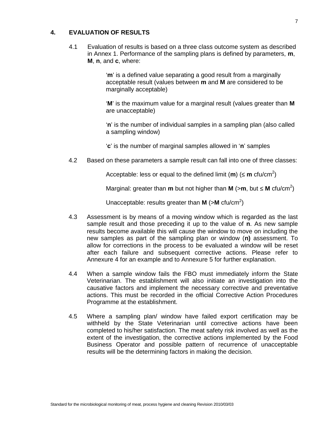### **4. EVALUATION OF RESULTS**

4.1 Evaluation of results is based on a three class outcome system as described in Annex 1. Performance of the sampling plans is defined by parameters, **m**, **M**, **n**, and **c**, where:

> '**m**' is a defined value separating a good result from a marginally acceptable result (values between **m** and **M** are considered to be marginally acceptable)

'**M**' is the maximum value for a marginal result (values greater than **M** are unacceptable)

'**n**' is the number of individual samples in a sampling plan (also called a sampling window)

'**c**' is the number of marginal samples allowed in '**n**' samples

4.2 Based on these parameters a sample result can fall into one of three classes:

Acceptable: less or equal to the defined limit (**m**) ( **m** cfu/cm<sup>2</sup> )

Marginal: greater than **m** but not higher than **M** (>**m**, but **M** cfu/cm<sup>2</sup> )

Unacceptable: results greater than M (>M cfu/cm<sup>2</sup>)

- 4.3 Assessment is by means of a moving window which is regarded as the last sample result and those preceding it up to the value of **n**. As new sample results become available this will cause the window to move on including the new samples as part of the sampling plan or window (**n)** assessment. To allow for corrections in the process to be evaluated a window will be reset after each failure and subsequent corrective actions. Please refer to Annexure 4 for an example and to Annexure 5 for further explanation.
- 4.4 When a sample window fails the FBO must immediately inform the State Veterinarian. The establishment will also initiate an investigation into the causative factors and implement the necessary corrective and preventative actions. This must be recorded in the official Corrective Action Procedures Programme at the establishment.
- 4.5 Where a sampling plan/ window have failed export certification may be withheld by the State Veterinarian until corrective actions have been completed to his/her satisfaction. The meat safety risk involved as well as the extent of the investigation, the corrective actions implemented by the Food Business Operator and possible pattern of recurrence of unacceptable results will be the determining factors in making the decision.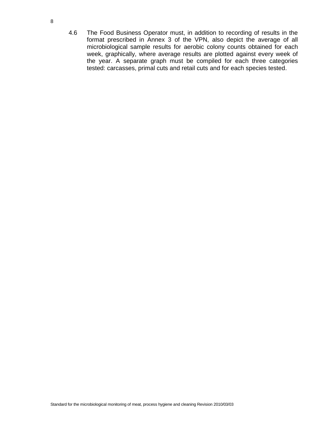4.6 The Food Business Operator must, in addition to recording of results in the format prescribed in Annex 3 of the VPN, also depict the average of all microbiological sample results for aerobic colony counts obtained for each week, graphically, where average results are plotted against every week of the year. A separate graph must be compiled for each three categories tested: carcasses, primal cuts and retail cuts and for each species tested.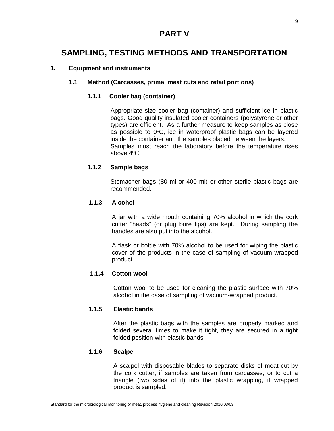## **PART V**

## **SAMPLING, TESTING METHODS AND TRANSPORTATION**

## **1. Equipment and instruments**

### **1.1 Method (Carcasses, primal meat cuts and retail portions)**

## **1.1.1 Cooler bag (container)**

Appropriate size cooler bag (container) and sufficient ice in plastic bags. Good quality insulated cooler containers (polystyrene or other types) are efficient. As a further measure to keep samples as close as possible to 0ºC, ice in waterproof plastic bags can be layered inside the container and the samples placed between the layers. Samples must reach the laboratory before the temperature rises above 4ºC.

## **1.1.2 Sample bags**

Stomacher bags (80 ml or 400 ml) or other sterile plastic bags are recommended.

### **1.1.3 Alcohol**

A jar with a wide mouth containing 70% alcohol in which the cork cutter "heads" (or plug bore tips) are kept. During sampling the handles are also put into the alcohol.

A flask or bottle with 70% alcohol to be used for wiping the plastic cover of the products in the case of sampling of vacuum-wrapped product.

### **1.1.4 Cotton wool**

Cotton wool to be used for cleaning the plastic surface with 70% alcohol in the case of sampling of vacuum-wrapped product.

### **1.1.5 Elastic bands**

After the plastic bags with the samples are properly marked and folded several times to make it tight, they are secured in a tight folded position with elastic bands.

## **1.1.6 Scalpel**

A scalpel with disposable blades to separate disks of meat cut by the cork cutter, if samples are taken from carcasses, or to cut a triangle (two sides of it) into the plastic wrapping, if wrapped product is sampled.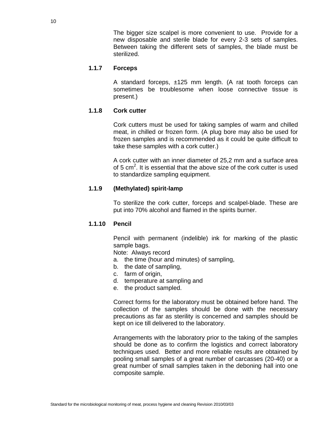The bigger size scalpel is more convenient to use. Provide for a new disposable and sterile blade for every 2-3 sets of samples. Between taking the different sets of samples, the blade must be sterilized.

### **1.1.7 Forceps**

A standard forceps, ±125 mm length. (A rat tooth forceps can sometimes be troublesome when loose connective tissue is present.)

### **1.1.8 Cork cutter**

Cork cutters must be used for taking samples of warm and chilled meat, in chilled or frozen form. (A plug bore may also be used for frozen samples and is recommended as it could be quite difficult to take these samples with a cork cutter.)

A cork cutter with an inner diameter of 25,2 mm and a surface area of 5 cm<sup>2</sup>. It is essential that the above size of the cork cutter is used to standardize sampling equipment.

#### **1.1.9 (Methylated) spirit-lamp**

To sterilize the cork cutter, forceps and scalpel-blade. These are put into 70% alcohol and flamed in the spirits burner.

#### **1.1.10 Pencil**

Pencil with permanent (indelible) ink for marking of the plastic sample bags.

Note: Always record

- a. the time (hour and minutes) of sampling,
- b. the date of sampling,
- c. farm of origin,
- d. temperature at sampling and
- e. the product sampled.

Correct forms for the laboratory must be obtained before hand. The collection of the samples should be done with the necessary precautions as far as sterility is concerned and samples should be kept on ice till delivered to the laboratory.

Arrangements with the laboratory prior to the taking of the samples should be done as to confirm the logistics and correct laboratory techniques used. Better and more reliable results are obtained by pooling small samples of a great number of carcasses (20-40) or a great number of small samples taken in the deboning hall into one composite sample.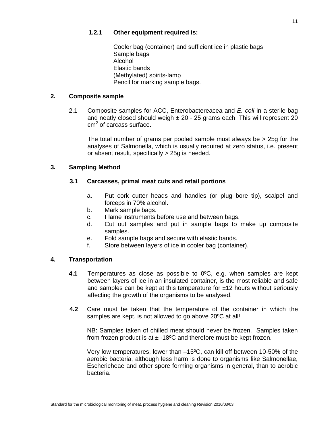Cooler bag (container) and sufficient ice in plastic bags Sample bags Alcohol Elastic bands (Methylated) spirits-lamp Pencil for marking sample bags.

## **2. Composite sample**

2.1 Composite samples for ACC, Enterobactereacea and *E. coli* in a sterile bag and neatly closed should weigh  $\pm 20$  - 25 grams each. This will represent 20 cm<sup>2</sup> of carcass surface.

The total number of grams per pooled sample must always be > 25g for the analyses of Salmonella, which is usually required at zero status, i.e. present or absent result, specifically > 25g is needed.

## **3. Sampling Method**

## **3.1 Carcasses, primal meat cuts and retail portions**

- a. Put cork cutter heads and handles (or plug bore tip), scalpel and forceps in 70% alcohol.
- b. Mark sample bags.
- c. Flame instruments before use and between bags.
- d. Cut out samples and put in sample bags to make up composite samples.
- e. Fold sample bags and secure with elastic bands.
- f. Store between layers of ice in cooler bag (container).

## **4. Transportation**

- **4.1** Temperatures as close as possible to 0ºC, e.g. when samples are kept between layers of ice in an insulated container, is the most reliable and safe and samples can be kept at this temperature for  $\pm 12$  hours without seriously affecting the growth of the organisms to be analysed.
- **4.2** Care must be taken that the temperature of the container in which the samples are kept, is not allowed to go above 20ºC at all!

NB: Samples taken of chilled meat should never be frozen. Samples taken from frozen product is at  $\pm$  -18<sup>o</sup>C and therefore must be kept frozen.

Very low temperatures, lower than –15ºC, can kill off between 10-50% of the aerobic bacteria, although less harm is done to organisms like Salmonellae, Eschericheae and other spore forming organisms in general, than to aerobic bacteria.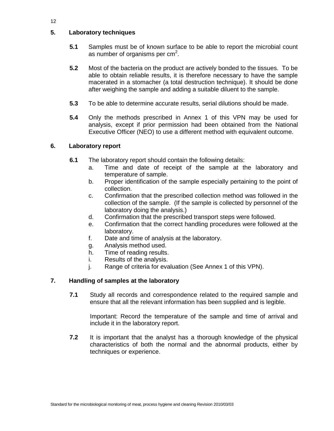## **5. Laboratory techniques**

- **5.1** Samples must be of known surface to be able to report the microbial count as number of organisms per cm<sup>2</sup>.
- **5.2** Most of the bacteria on the product are actively bonded to the tissues. To be able to obtain reliable results, it is therefore necessary to have the sample macerated in a stomacher (a total destruction technique). It should be done after weighing the sample and adding a suitable diluent to the sample.
- **5.3** To be able to determine accurate results, serial dilutions should be made.
- **5.4** Only the methods prescribed in Annex 1 of this VPN may be used for analysis, except if prior permission had been obtained from the National Executive Officer (NEO) to use a different method with equivalent outcome.

### **6. Laboratory report**

- **6.1** The laboratory report should contain the following details:
	- a. Time and date of receipt of the sample at the laboratory and temperature of sample.
	- b. Proper identification of the sample especially pertaining to the point of collection.
	- c. Confirmation that the prescribed collection method was followed in the collection of the sample. (If the sample is collected by personnel of the laboratory doing the analysis.)
	- d. Confirmation that the prescribed transport steps were followed.
	- e. Confirmation that the correct handling procedures were followed at the laboratory.
	- f. Date and time of analysis at the laboratory.
	- g. Analysis method used.
	- h. Time of reading results.
	- i. Results of the analysis.
	- j. Range of criteria for evaluation (See Annex 1 of this VPN).

### **7. Handling of samples at the laboratory**

**7.1** Study all records and correspondence related to the required sample and ensure that all the relevant information has been supplied and is legible.

Important: Record the temperature of the sample and time of arrival and include it in the laboratory report.

**7.2** It is important that the analyst has a thorough knowledge of the physical characteristics of both the normal and the abnormal products, either by techniques or experience.

12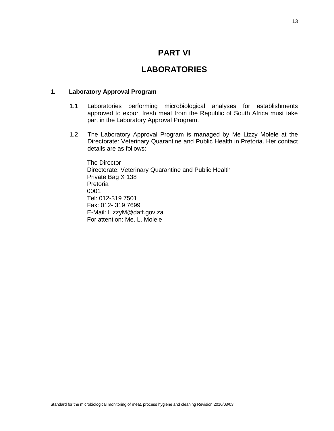## **PART VI**

## **LABORATORIES**

#### **1. Laboratory Approval Program**

- 1.1 Laboratories performing microbiological analyses for establishments approved to export fresh meat from the Republic of South Africa must take part in the Laboratory Approval Program.
- 1.2 The Laboratory Approval Program is managed by Me Lizzy Molele at the Directorate: Veterinary Quarantine and Public Health in Pretoria. Her contact details are as follows:

The Director Directorate: Veterinary Quarantine and Public Health Private Bag X 138 Pretoria 0001 Tel: 012-319 7501 Fax: 012- 319 7699 E-Mail: LizzyM@daff.gov.za For attention: Me. L. Molele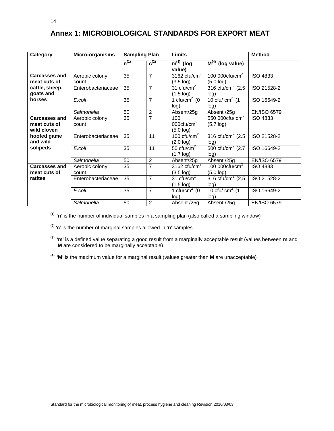| Category                                            | Micro-organisms         | <b>Sampling Plan</b> |                                                        | Limits                                                  | <b>Method</b>                         |                    |
|-----------------------------------------------------|-------------------------|----------------------|--------------------------------------------------------|---------------------------------------------------------|---------------------------------------|--------------------|
|                                                     |                         | $n^{(1)}$            | $c^{(2)}$                                              | $m^{(3)}$ (log<br>value)                                | $\overline{M}^{(4)}$ (log value)      |                    |
| <b>Carcasses and</b><br>meat cuts of                | Aerobic colony<br>count | 35                   | $\overline{7}$                                         | 3162 cfu/cm $2$<br>$(3.5 \log)$                         | 100 000 $ctu/cm2$<br>(5.0 log)        | <b>ISO 4833</b>    |
| cattle, sheep,<br>goats and                         | Enterobacteriaceae      | 35                   | $\overline{7}$                                         | 31 cfu/ $\overline{\text{cm}^2}$<br>$(1.5 \text{ log})$ | 316 cfu/cm <sup>2</sup> (2.5)<br>log) | ISO 21528-2        |
| horses                                              | E.coli                  | 35                   | $\overline{7}$                                         | 1 cfu/cm $2$ (0<br>log)                                 | 10 cfu/ $cm2$ (1<br>log)              | ISO 16649-2        |
|                                                     | Salmonella              | 50                   | $\overline{2}$                                         | Absent/25g                                              | Absent /25g                           | <b>EN/ISO 6579</b> |
| <b>Carcasses and</b><br>meat cuts of<br>wild cloven | Aerobic colony<br>count | 35                   | 7<br>100<br>000 $ctu/cm2$<br>$(5.7 \log)$<br>(5.0 log) |                                                         | 550 000 $ctu/cm2$                     | <b>ISO 4833</b>    |
| hoofed game<br>and wild                             | Enterobacteriaceae      | 35                   | 11                                                     | 100 $ctu/cm2$<br>(2.0 log)                              | 316 cfu/cm <sup>2</sup> (2.5)<br>log) | ISO 21528-2        |
| solipeds                                            | E.coli                  | 35                   | 11                                                     | 50 $ctu/cm2$<br>$(1.7 \text{ log})$                     | 500 cfu/cm <sup>2</sup> (2.7)<br>log) | ISO 16649-2        |
|                                                     | Salmonella              | 50                   | 2                                                      | Absent/25g                                              | Absent /25g                           | <b>EN/ISO 6579</b> |
| <b>Carcasses and</b><br>meat cuts of                | Aerobic colony<br>count | 35                   | $\overline{7}$                                         | 3162 cfu/cm $2$<br>$(3.5 \log)$                         | 100 000 $ctu/cm2$<br>$(5.0 \log)$     | <b>ISO 4833</b>    |
| ratites                                             | Enterobacteriaceae      | 35                   | $\overline{7}$                                         | 31 $ctu/cm2$<br>$(1.5 \text{ log})$                     | 316 cfu/cm <sup>2</sup> (2.5)<br>log) | ISO 21528-2        |
|                                                     | E.coli                  | 35                   | $\overline{7}$                                         | 1 cfu/cm $2$ (0<br>log)                                 | 10 cfu/ $cm2$ (1<br>log)              | ISO 16649-2        |
|                                                     | Salmonella              | 50                   | $\overline{2}$                                         | Absent /25g                                             | Absent /25g                           | <b>EN/ISO 6579</b> |

## **Annex 1: MICROBIOLOGICAL STANDARDS FOR EXPORT MEAT**

**(1)** '**n**' is the number of individual samples in a sampling plan (also called a sampling window)

(2) '**c**' is the number of marginal samples allowed in '**n**' samples

**(3)** '**m**' is a defined value separating a good result from a marginally acceptable result (values between **m** and **M** are considered to be marginally acceptable)

**(4)** '**M**' is the maximum value for a marginal result (values greater than **M** are unacceptable)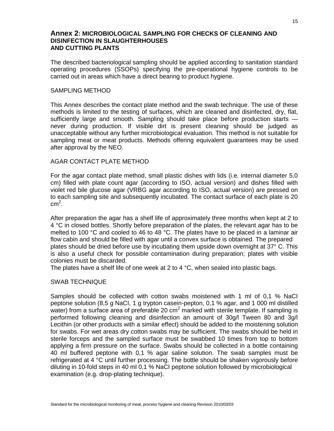## **Annex 2: MICROBIOLOGICAL SAMPLING FOR CHECKS OF CLEANING AND DISINFECTION IN SLAUGHTERHOUSES AND CUTTING PLANTS**

The described bacteriological sampling should be applied according to sanitation standard operating procedures (SSOPs) specifying the pre-operational hygiene controls to be carried out in areas which have a direct bearing to product hygiene.

#### SAMPLING METHOD

This Annex describes the contact plate method and the swab technique. The use of these methods is limited to the testing of surfaces, which are cleaned and disinfected, dry, flat, sufficiently large and smooth. Sampling should take place before production starts never during production. If visible dirt is present cleaning should be judged as unacceptable without any further microbiological evaluation. This method is not suitable for sampling meat or meat products. Methods offering equivalent guarantees may be used after approval by the NEO.

#### AGAR CONTACT PLATE METHOD

For the agar contact plate method, small plastic dishes with lids (i.e. internal diameter 5,0 cm) filled with plate count agar (according to ISO, actual version) and dishes filled with violet red bile glucose agar (VRBG agar according to ISO, actual version) are pressed on to each sampling site and subsequently incubated. The contact surface of each plate is 20  $cm<sup>2</sup>$ .

After preparation the agar has a shelf life of approximately three months when kept at 2 to 4 °C in closed bottles. Shortly before preparation of the plates, the relevant agar has to be melted to 100 °C and cooled to 46 to 48 °C. The plates have to be placed in a laminar air flow cabin and should be filled with agar until a convex surface is obtained. The prepared plates should be dried before use by incubating them upside down overnight at 37° C. This is also a useful check for possible contamination during preparation; plates with visible colonies must be discarded.

The plates have a shelf life of one week at 2 to 4  $\degree$ C, when sealed into plastic bags.

#### SWAB TECHNIQUE

Samples should be collected with cotton swabs moistened with 1 ml of 0,1 % NaCI peptone solution (8,5 g NaCI, 1 g trypton casein-pepton, 0,1 % agar, and 1 000 ml distilled water) from a surface area of preferable 20 cm<sup>2</sup> marked with sterile template. If sampling is performed following cleaning and disinfection an amount of 30g/l Tween 80 and 3g/l Lecithin (or other products with a similar effect) should be added to the moistening solution for swabs. For wet areas dry cotton swabs may be sufficient. The swabs should be held in sterile forceps and the sampled surface must be swabbed 10 times from top to bottom applying a firm pressure on the surface. Swabs should be collected in a bottle containing 40 ml buffered peptone with 0,1 % agar saline solution. The swab samples must be refrigerated at 4 °C until further processing. The bottle should be shaken vigorously before diluting in 10-fold steps in 40 ml 0,1 % NaCI peptone solution followed by microbiological examination (e.g. drop-plating technique).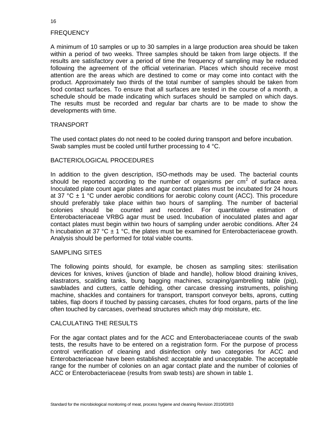### **FREQUENCY**

A minimum of 10 samples or up to 30 samples in a large production area should be taken within a period of two weeks. Three samples should be taken from large objects. If the results are satisfactory over a period of time the frequency of sampling may be reduced following the agreement of the official veterinarian. Places which should receive most attention are the areas which are destined to come or may come into contact with the product. Approximately two thirds of the total number of samples should be taken from food contact surfaces. To ensure that all surfaces are tested in the course of a month, a schedule should be made indicating which surfaces should be sampled on which days. The results must be recorded and regular bar charts are to be made to show the developments with time.

#### TRANSPORT

The used contact plates do not need to be cooled during transport and before incubation. Swab samples must be cooled until further processing to 4 °C.

#### BACTERIOLOGICAL PROCEDURES

In addition to the given description, ISO-methods may be used. The bacterial counts should be reported according to the number of organisms per  $cm<sup>2</sup>$  of surface area. Inoculated plate count agar plates and agar contact plates must be incubated for 24 hours at 37 °C  $\pm$  1 °C under aerobic conditions for aerobic colony count (ACC). This procedure should preferably take place within two hours of sampling. The number of bacterial colonies should be counted and recorded. For quantitative estimation of Enterobacteriaceae VRBG agar must be used. Incubation of inoculated plates and agar contact plates must begin within two hours of sampling under aerobic conditions. After 24 h incubation at 37 °C  $\pm$  1 °C, the plates must be examined for Enterobacteriaceae growth. Analysis should be performed for total viable counts.

#### SAMPLING SITES

The following points should, for example, be chosen as sampling sites: sterilisation devices for knives, knives (junction of blade and handle), hollow blood draining knives, elastrators, scalding tanks, bung bagging machines, scraping/gambrelling table (pig), sawblades and cutters, cattle dehiding, other carcase dressing instruments, polishing machine, shackles and containers for transport, transport conveyor belts, aprons, cutting tables, flap doors if touched by passing carcases, chutes for food organs, parts of the line often touched by carcases, overhead structures which may drip moisture, etc.

#### CALCULATING THE RESULTS

For the agar contact plates and for the ACC and Enterobacteriaceae counts of the swab tests, the results have to be entered on a registration form. For the purpose of process control verification of cleaning and disinfection only two categories for ACC and Enterobacteriaceae have been established: acceptable and unacceptable. The acceptable range for the number of colonies on an agar contact plate and the number of colonies of ACC or Enterobacteriaceae (results from swab tests) are shown in table 1.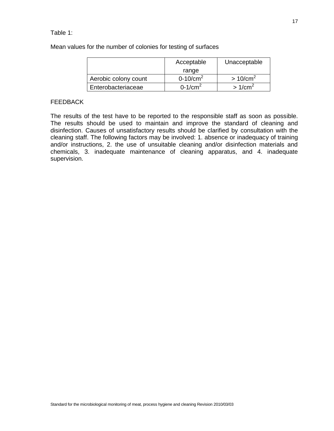### Table 1:

Mean values for the number of colonies for testing of surfaces

|                      | Acceptable  | Unacceptable        |
|----------------------|-------------|---------------------|
|                      | range       |                     |
| Aerobic colony count | 0-10/ $cm2$ | >10/cm <sup>2</sup> |
| Enterobacteriaceae   | $0-1/cm2$   | >1/cm <sup>2</sup>  |

#### FEEDBACK

The results of the test have to be reported to the responsible staff as soon as possible. The results should be used to maintain and improve the standard of cleaning and disinfection. Causes of unsatisfactory results should be clarified by consultation with the cleaning staff. The following factors may be involved: 1. absence or inadequacy of training and/or instructions, 2. the use of unsuitable cleaning and/or disinfection materials and chemicals, 3. inadequate maintenance of cleaning apparatus, and 4. inadequate supervision.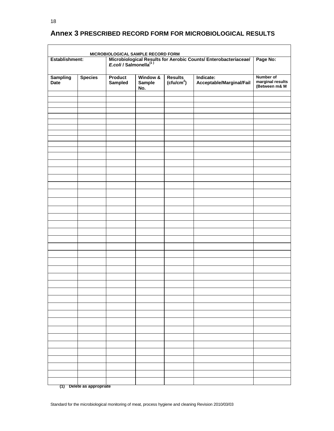## **Annex 3 PRESCRIBED RECORD FORM FOR MICROBIOLOGICAL RESULTS**

| Establishment:                 |                | Microbiological Results for Aerobic Counts/ Enterobacteriaceae/<br>E.coli / Salmonella <sup>(1)</sup> | Page No:                  |                                          |                                       |                                                |
|--------------------------------|----------------|-------------------------------------------------------------------------------------------------------|---------------------------|------------------------------------------|---------------------------------------|------------------------------------------------|
| <b>Sampling</b><br><b>Date</b> | <b>Species</b> | Product<br>Sampled                                                                                    | Window &<br>Sample<br>No. | <b>Results</b><br>(ctu/cm <sup>2</sup> ) | Indicate:<br>Acceptable/Marginal/Fail | Number of<br>marginal results<br>(Between m& M |
|                                |                |                                                                                                       |                           |                                          |                                       |                                                |
|                                |                |                                                                                                       |                           |                                          |                                       |                                                |
|                                |                |                                                                                                       |                           |                                          |                                       |                                                |
|                                |                |                                                                                                       |                           |                                          |                                       |                                                |
|                                |                |                                                                                                       |                           |                                          |                                       |                                                |
|                                |                |                                                                                                       |                           |                                          |                                       |                                                |
|                                |                |                                                                                                       |                           |                                          |                                       |                                                |
|                                |                |                                                                                                       |                           |                                          |                                       |                                                |
|                                |                |                                                                                                       |                           |                                          |                                       |                                                |
|                                |                |                                                                                                       |                           |                                          |                                       |                                                |
|                                |                |                                                                                                       |                           |                                          |                                       |                                                |
|                                |                |                                                                                                       |                           |                                          |                                       |                                                |
|                                |                |                                                                                                       |                           |                                          |                                       |                                                |
|                                |                |                                                                                                       |                           |                                          |                                       |                                                |
|                                |                |                                                                                                       |                           |                                          |                                       |                                                |
|                                |                |                                                                                                       |                           |                                          |                                       |                                                |
|                                |                |                                                                                                       |                           |                                          |                                       |                                                |
|                                |                |                                                                                                       |                           |                                          |                                       |                                                |
|                                |                |                                                                                                       |                           |                                          |                                       |                                                |
|                                |                |                                                                                                       |                           |                                          |                                       |                                                |
|                                |                |                                                                                                       |                           |                                          |                                       |                                                |
|                                |                |                                                                                                       |                           |                                          |                                       |                                                |
|                                |                |                                                                                                       |                           |                                          |                                       |                                                |
|                                |                |                                                                                                       |                           |                                          |                                       |                                                |
|                                |                |                                                                                                       |                           |                                          |                                       |                                                |
|                                |                |                                                                                                       |                           |                                          |                                       |                                                |
|                                |                |                                                                                                       |                           |                                          |                                       |                                                |
|                                |                |                                                                                                       |                           |                                          |                                       |                                                |
|                                |                |                                                                                                       |                           |                                          |                                       |                                                |
|                                |                |                                                                                                       |                           |                                          |                                       |                                                |
|                                |                |                                                                                                       |                           |                                          |                                       |                                                |
|                                |                |                                                                                                       |                           |                                          |                                       |                                                |
|                                |                |                                                                                                       |                           |                                          |                                       |                                                |
|                                |                |                                                                                                       |                           |                                          |                                       |                                                |
|                                |                |                                                                                                       |                           |                                          |                                       |                                                |
|                                |                |                                                                                                       |                           |                                          |                                       |                                                |
|                                |                |                                                                                                       |                           |                                          |                                       |                                                |
|                                |                |                                                                                                       |                           |                                          |                                       |                                                |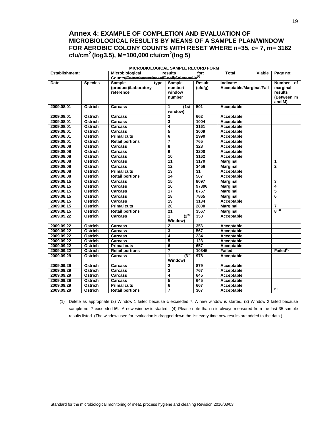## **Annex 4: EXAMPLE OF COMPLETION AND EVALUATION OF MICROBIOLOGICAL RESULTS BY MEANS OF A SAMPLE PLAN/WINDOW FOR AEROBIC COLONY COUNTS WITH RESET WHERE n=35, c= 7, m= 3162 cfu/cm<sup>2</sup> (log3.5), M=100,000 cfu/cm<sup>2</sup> (log 5)**

| MICROBIOLOGICAL SAMPLE RECORD FORM |                                               |                        |                           |                  |                          |                       |  |
|------------------------------------|-----------------------------------------------|------------------------|---------------------------|------------------|--------------------------|-----------------------|--|
| Establishment:                     |                                               | Microbiological        | results                   | for:             | Viable<br><b>Total</b>   | Page no:              |  |
|                                    | Counts/Enterobacteriacea/E.coli/Salmonella(1) |                        |                           |                  |                          |                       |  |
| Date                               | <b>Species</b>                                | <b>Sample</b><br>type  | <b>Sample</b>             | Result           | Indicate:                | Number of             |  |
|                                    |                                               | (product)/Laboratory   | number/                   | (cfu/g)          | Acceptable/Marginal/Fail | marginal              |  |
|                                    |                                               | reference              | window                    |                  |                          | results               |  |
|                                    |                                               |                        | number                    |                  |                          | (Between m            |  |
|                                    |                                               |                        |                           |                  |                          | and M)                |  |
| 2009.08.01                         | Ostrich                                       | Carcass                | (1st)<br>1                | 501              | Acceptable               |                       |  |
|                                    |                                               |                        | window)                   |                  |                          |                       |  |
| 2009.08.01                         | Ostrich                                       | Carcass                | $\overline{2}$            | 662              | Acceptable               |                       |  |
| 2009.08.01                         | Ostrich                                       | Carcass                | 3                         | 1004             | Acceptable               |                       |  |
| 2009.08.01                         | Ostrich                                       | Carcass                | 4                         | 3161             | Acceptable               |                       |  |
| 2009.08.01                         | Ostrich                                       | Carcass                | 5                         | 3009             | Acceptable               |                       |  |
| 2009.08.01                         | Ostrich                                       | <b>Primal cuts</b>     | 6                         | 2990             | Acceptable               |                       |  |
| 2009.08.01                         | Ostrich                                       | <b>Retail portions</b> | $\overline{7}$            | 765              | Acceptable               |                       |  |
| 2009.08.08                         | Ostrich                                       | <b>Carcass</b>         | 8                         | 328              | Acceptable               |                       |  |
| 2009.08.08                         | Ostrich                                       | Carcass                | $\overline{9}$            | 3200             | Acceptable               |                       |  |
| 2009.08.08                         | Ostrich                                       | Carcass                | 10                        | 3162             | Acceptable               |                       |  |
| 2009.08.08                         | Ostrich                                       | <b>Carcass</b>         | $\overline{11}$           | 3170             | <b>Marginal</b>          | 1                     |  |
| 2009.08.08                         | Ostrich                                       | <b>Carcass</b>         | $\overline{12}$           | 3456             | <b>Marginal</b>          | $\mathbf{2}$          |  |
| 2009.08.08                         | Ostrich                                       | <b>Primal cuts</b>     | 13                        | 31               | Acceptable               |                       |  |
| 2009.08.08                         | Ostrich                                       | <b>Retail portions</b> | $\overline{14}$           | 567              | Acceptable               |                       |  |
| 2009.08.15                         | Ostrich                                       | Carcass                | 15                        | 8097             | <b>Marginal</b>          | 3                     |  |
| 2009.08.15                         | Ostrich                                       | Carcass                | 16                        | 97896            | <b>Marginal</b>          | 4                     |  |
| 2009.08.15                         | Ostrich                                       | Carcass                | $\overline{17}$           | 8767             | <b>Marginal</b>          | 5                     |  |
| 2009.08.15                         | Ostrich                                       | Carcass                | $\overline{18}$           | 7865             | <b>Marginal</b>          | 6                     |  |
| 2009.08.15                         | Ostrich                                       | Carcass                | $\overline{19}$           | 3134             | <b>Acceptable</b>        |                       |  |
| 2009.08.15                         | Ostrich                                       | <b>Primal cuts</b>     | 20                        | 2800             | <b>Marginal</b>          | 7                     |  |
| 2009.08.15                         | Ostrich                                       | <b>Retail portions</b> | $\overline{21}$           | 3567             | <b>Marginal</b>          | $8^{(2)}$             |  |
| 2009.09.22                         | Ostrich                                       | Carcass                | $(2^{nd}$<br>$\mathbf{1}$ | 350              | Acceptable               |                       |  |
|                                    |                                               |                        | Window)                   |                  |                          |                       |  |
| 2009.09.22                         | Ostrich                                       | Carcass                | $\overline{2}$            | 356              | Acceptable               |                       |  |
| 2009.09.22                         | Ostrich                                       | Carcass                | 3                         | 567              | Acceptable               |                       |  |
| 2009.09.22                         | Ostrich                                       | Carcass                | 4                         | 234              | Acceptable               |                       |  |
| 2009.09.22                         | Ostrich                                       | <b>Carcass</b>         | 5                         | 123              | Acceptable               |                       |  |
| 2009.09.22                         | Ostrich                                       | <b>Primal cuts</b>     | 6                         | 657              | Acceptable               |                       |  |
| 2009.09.22                         | Ostrich                                       | <b>Retail portions</b> | 7                         | 10345            | Failed                   | Failed <sup>(3)</sup> |  |
| 2009.09.29                         | Ostrich                                       | Carcass                | $\overline{3^{rd}}$<br>1  | $\overline{978}$ | Acceptable               |                       |  |
|                                    |                                               |                        | Window)                   |                  |                          |                       |  |
| 2009.09.29                         | Ostrich                                       | Carcass                | $\overline{2}$            | 879              | Acceptable               |                       |  |
| 2009.09.29                         | Ostrich                                       | <b>Carcass</b>         | 3                         | 767              | Acceptable               |                       |  |
| 2009.09.29                         | Ostrich                                       | Carcass                | 4                         | 645              | Acceptable               |                       |  |
| 2009.09.29                         | Ostrich                                       | <b>Carcass</b>         | 5                         | 645              | Acceptable               |                       |  |
| 2009.09.29                         | Ostrich                                       | <b>Primal cuts</b>     | 6                         | 667              | Acceptable               |                       |  |
| 2009.09.29                         | Ostrich                                       | <b>Retail portions</b> | 7                         | 367              | Acceptable               | (4)                   |  |

(1) Delete as appropriate (2) Window 1 failed because **c** exceeded 7. A new window is started. (3) Window 2 failed because sample no. 7 exceeded **M.** A new window is started. (4) Please note than **n** is always measured from the last 35 sample results listed. (The window used for evaluation is dragged down the list every time new results are added to the data.)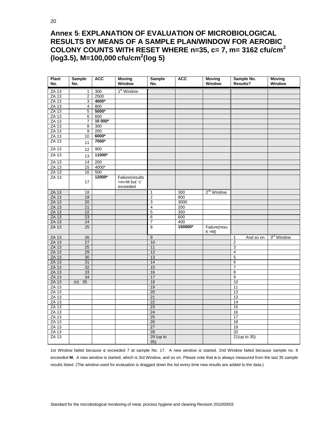## **Annex 5: EXPLANATION OF EVALUATION OF MICROBIOLOGICAL RESULTS BY MEANS OF A SAMPLE PLAN/WINDOW FOR AEROBIC COLONY COUNTS WITH RESET WHERE n=35, c= 7, m= 3162 cfu/cm<sup>2</sup> (log3.5), M=100,000 cfu/cm<sup>2</sup> (log 5)**

| <b>Plant</b><br>No. | <b>Sample</b><br>No. | <b>ACC</b> | <b>Moving</b><br>Window             | <b>Sample</b><br>No. | <b>ACC</b> | <b>Moving</b><br>Window   | Sample No.<br>Results?    | <b>Moving</b><br>Window |
|---------------------|----------------------|------------|-------------------------------------|----------------------|------------|---------------------------|---------------------------|-------------------------|
| ZA 13               | 1                    | 300        | 1 <sup>st</sup> Window              |                      |            |                           |                           |                         |
| $ZA$ 13             | $\overline{2}$       | 2500       |                                     |                      |            |                           |                           |                         |
| <b>ZA 13</b>        | $\overline{3}$       | 4000*      |                                     |                      |            |                           |                           |                         |
| <b>ZA 13</b>        | 4                    | 800        |                                     |                      |            |                           |                           |                         |
| <b>ZA 13</b>        | 5                    | 5000*      |                                     |                      |            |                           |                           |                         |
| ZA 13               | 6                    | 600        |                                     |                      |            |                           |                           |                         |
| ZA 13               | 7                    | 10 000*    |                                     |                      |            |                           |                           |                         |
| <b>ZA 13</b>        | 8                    | 300        |                                     |                      |            |                           |                           |                         |
| ZA 13               | 9                    | 200        |                                     |                      |            |                           |                           |                         |
| ZA 13               | 10                   | $6000*$    |                                     |                      |            |                           |                           |                         |
| <b>ZA 13</b>        | 11                   | 7000*      |                                     |                      |            |                           |                           |                         |
| <b>ZA 13</b>        | 12                   | 900        |                                     |                      |            |                           |                           |                         |
| <b>ZA 13</b>        | 13                   | 11000*     |                                     |                      |            |                           |                           |                         |
| <b>ZA 13</b>        | 14                   | 200        |                                     |                      |            |                           |                           |                         |
| <b>ZA 13</b>        | 15                   | 4000*      |                                     |                      |            |                           |                           |                         |
| <b>ZA 13</b>        | 16                   | 500        |                                     |                      |            |                           |                           |                         |
| <b>ZA 13</b>        |                      | 12000*     | Failure(results                     |                      |            |                           |                           |                         |
|                     | 17                   |            | >m <m 'c'<br="" but="">exceeded</m> |                      |            |                           |                           |                         |
| <b>ZA 13</b>        | 18                   |            |                                     | $\mathbf{1}$         | 300        | $2nd$ Window              |                           |                         |
| <b>ZA 13</b>        | 19                   |            |                                     | $\overline{2}$       | 800        |                           |                           |                         |
| <b>ZA 13</b>        | 20                   |            |                                     | $\overline{3}$       | 3000       |                           |                           |                         |
| <b>ZA 13</b>        | 21                   |            |                                     | $\overline{4}$       | 200        |                           |                           |                         |
| <b>ZA 13</b>        | 22                   |            |                                     | $\overline{5}$       | 350        |                           |                           |                         |
| <b>ZA 13</b>        | 23                   |            |                                     | $\overline{6}$       | 600        |                           |                           |                         |
| <b>ZA 13</b>        | $\overline{24}$      |            |                                     | 7                    | 400        |                           |                           |                         |
| <b>ZA 13</b>        | 25                   |            |                                     | 8                    | 150000*    | Failure(resu<br>It $>M$ ) |                           |                         |
| <b>ZA 13</b>        | 26                   |            |                                     | $\overline{9}$       |            |                           | And so on<br>$\mathbf{1}$ | 3 <sup>rd</sup> Window  |
| <b>ZA 13</b>        | $\overline{27}$      |            |                                     | 10                   |            |                           | $\overline{2}$            |                         |
| <b>ZA 13</b>        | $\overline{25}$      |            |                                     | 11                   |            |                           | 3                         |                         |
| <b>ZA 13</b>        | 29                   |            |                                     | 12                   |            |                           | $\overline{\mathbf{4}}$   |                         |
| <b>ZA 13</b>        | 30                   |            |                                     | 13                   |            |                           | 5                         |                         |
| <b>ZA 13</b>        | 31                   |            |                                     | 14                   |            |                           | 6                         |                         |
| <b>ZA 13</b>        | 32                   |            |                                     | 15                   |            |                           | $\overline{7}$            |                         |
| <b>ZA 13</b>        | 33                   |            |                                     | 16                   |            |                           | 8                         |                         |
| <b>ZA 13</b>        | 34                   |            |                                     | 17                   |            |                           | $\overline{9}$            |                         |
| <b>ZA 13</b>        | (n)<br>35            |            |                                     | 18                   |            |                           | 10                        |                         |
| $ZA$ 13             |                      |            |                                     | 19                   |            |                           | 11                        |                         |
| <b>ZA 13</b>        |                      |            |                                     | 20                   |            |                           | 12                        |                         |
| <b>ZA 13</b>        |                      |            |                                     | 21                   |            |                           | 13                        |                         |
| ZA 13               |                      |            |                                     | $\overline{22}$      |            |                           | 14                        |                         |
| ZA 13               |                      |            |                                     | 23                   |            |                           | 15                        |                         |
| <b>ZA 13</b>        |                      |            |                                     | 24                   |            |                           | 16                        |                         |
| <b>ZA 13</b>        |                      |            |                                     | 25                   |            |                           | 17                        |                         |
| <b>ZA 13</b>        |                      |            |                                     | 26                   |            |                           | 18                        |                         |
| <b>ZA 13</b>        |                      |            |                                     | 27                   |            |                           | 19                        |                         |
| <b>ZA 13</b>        |                      |            |                                     | 28                   |            |                           | 20                        |                         |
| $ZA$ 13             |                      |            |                                     | $29$ (up to<br>35)   |            |                           | 21(up to 35)              |                         |

1st Window failed because **c** exceeded 7 at sample No. 17. A new window is started. 2nd Window failed because sample no. 8 exceeded **M.** A new window is started, which is 3rd Window, and so on. Please note that **n** is always measured from the last 35 sample results listed. (The window used for evaluation is dragged down the list every time new results are added to the data.)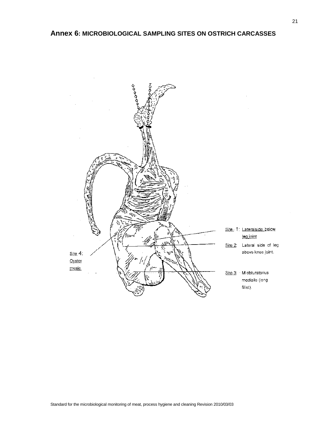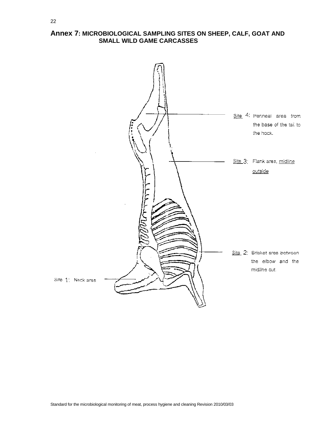## **Annex 7: MICROBIOLOGICAL SAMPLING SITES ON SHEEP, CALF, GOAT AND SMALL WILD GAME CARCASSES**